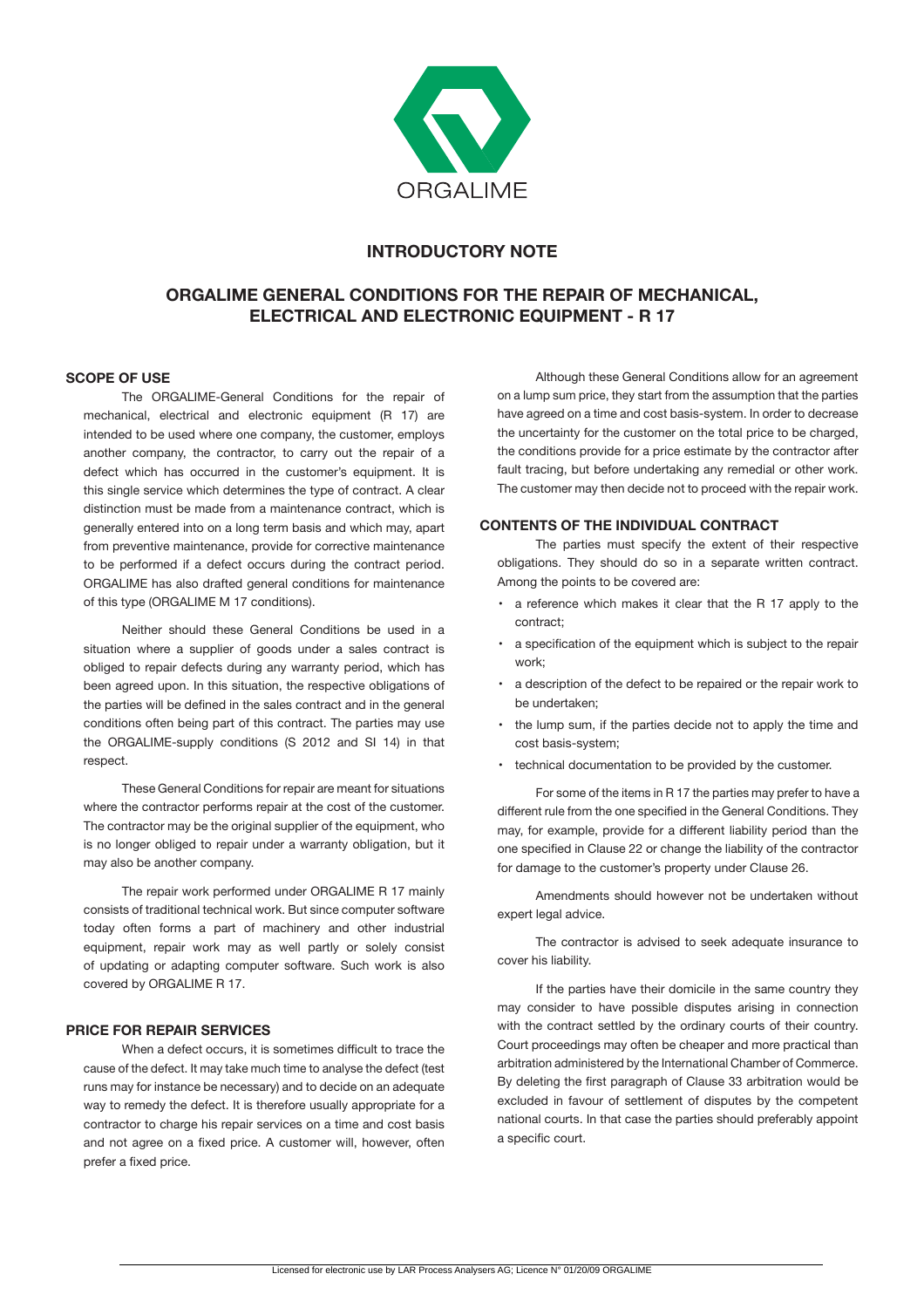

# **INTRODUCTORY NOTE**

# **ORGALIME GENERAL CONDITIONS FOR THE REPAIR OF MECHANICAL, ELECTRICAL AND ELECTRONIC EQUIPMENT - R 17**

### **SCOPE OF USE**

The ORGALIME-General Conditions for the repair of mechanical, electrical and electronic equipment (R 17) are intended to be used where one company, the customer, employs another company, the contractor, to carry out the repair of a defect which has occurred in the customer's equipment. It is this single service which determines the type of contract. A clear distinction must be made from a maintenance contract, which is generally entered into on a long term basis and which may, apart from preventive maintenance, provide for corrective maintenance to be performed if a defect occurs during the contract period. ORGALIME has also drafted general conditions for maintenance of this type (ORGALIME M 17 conditions).

 Neither should these General Conditions be used in a situation where a supplier of goods under a sales contract is obliged to repair defects during any warranty period, which has been agreed upon. In this situation, the respective obligations of the parties will be defined in the sales contract and in the general conditions often being part of this contract. The parties may use the ORGALIME-supply conditions (S 2012 and SI 14) in that respect.

 These General Conditions for repair are meant for situations where the contractor performs repair at the cost of the customer. The contractor may be the original supplier of the equipment, who is no longer obliged to repair under a warranty obligation, but it may also be another company.

 The repair work performed under ORGALIME R 17 mainly consists of traditional technical work. But since computer software today often forms a part of machinery and other industrial equipment, repair work may as well partly or solely consist of updating or adapting computer software. Such work is also covered by ORGALIME R 17.

## **PRICE FOR REPAIR SERVICES**

When a defect occurs, it is sometimes difficult to trace the cause of the defect. It may take much time to analyse the defect (test runs may for instance be necessary) and to decide on an adequate way to remedy the defect. It is therefore usually appropriate for a contractor to charge his repair services on a time and cost basis and not agree on a fixed price. A customer will, however, often prefer a fixed price.

Although these General Conditions allow for an agreement on a lump sum price, they start from the assumption that the parties have agreed on a time and cost basis-system. In order to decrease the uncertainty for the customer on the total price to be charged, the conditions provide for a price estimate by the contractor after fault tracing, but before undertaking any remedial or other work. The customer may then decide not to proceed with the repair work.

## **CONTENTS OF THE INDIVIDUAL CONTRACT**

The parties must specify the extent of their respective obligations. They should do so in a separate written contract. Among the points to be covered are:

- a reference which makes it clear that the R 17 apply to the contract;
- a specification of the equipment which is subject to the repair work;
- a description of the defect to be repaired or the repair work to be undertaken;
- the lump sum, if the parties decide not to apply the time and cost basis-system;
- technical documentation to be provided by the customer.

 For some of the items in R 17 the parties may prefer to have a different rule from the one specified in the General Conditions. They may, for example, provide for a different liability period than the one specified in Clause 22 or change the liability of the contractor for damage to the customer's property under Clause 26.

 Amendments should however not be undertaken without expert legal advice.

The contractor is advised to seek adequate insurance to cover his liability.

If the parties have their domicile in the same country they may consider to have possible disputes arising in connection with the contract settled by the ordinary courts of their country. Court proceedings may often be cheaper and more practical than arbitration administered by the International Chamber of Commerce. By deleting the first paragraph of Clause 33 arbitration would be excluded in favour of settlement of disputes by the competent national courts. In that case the parties should preferably appoint a specific court.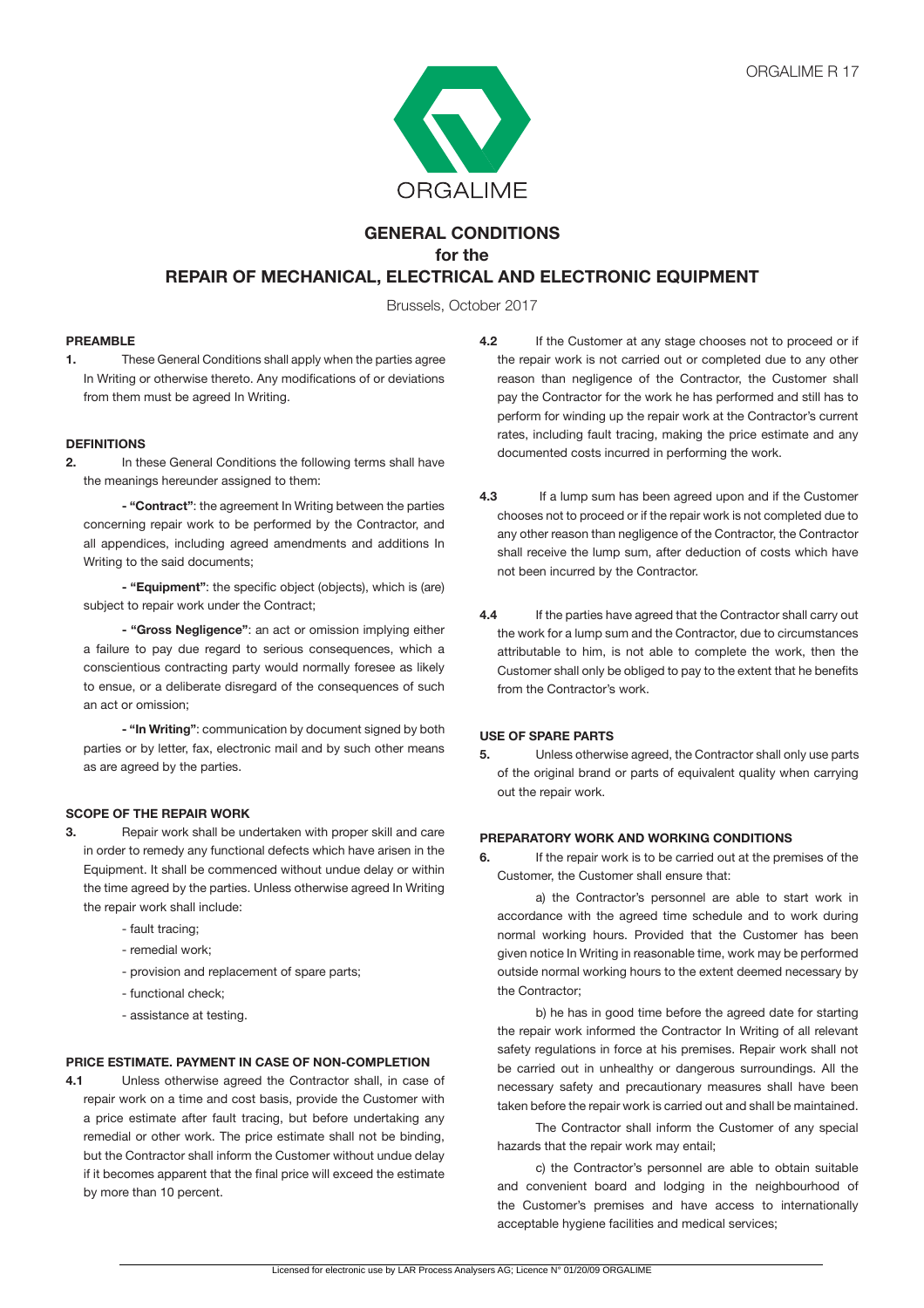

# **GENERAL CONDITIONS for the REPAIR OF MECHANICAL, ELECTRICAL AND ELECTRONIC EQUIPMENT**

Brussels, October 2017

## **PREAMBLE**

**1.** These General Conditions shall apply when the parties agree In Writing or otherwise thereto. Any modifications of or deviations from them must be agreed In Writing.

## **DEFINITIONS**

**2.** In these General Conditions the following terms shall have the meanings hereunder assigned to them:

 **- "Contract"**: the agreement In Writing between the parties concerning repair work to be performed by the Contractor, and all appendices, including agreed amendments and additions In Writing to the said documents;

 **- "Equipment"**: the specific object (objects), which is (are) subject to repair work under the Contract;

**- "Gross Negligence"**: an act or omission implying either a failure to pay due regard to serious consequences, which a conscientious contracting party would normally foresee as likely to ensue, or a deliberate disregard of the consequences of such an act or omission;

**- "In Writing"**: communication by document signed by both parties or by letter, fax, electronic mail and by such other means as are agreed by the parties.

## **SCOPE OF THE REPAIR WORK**

- **3. Repair work shall be undertaken with proper skill and care** in order to remedy any functional defects which have arisen in the Equipment. It shall be commenced without undue delay or within the time agreed by the parties. Unless otherwise agreed In Writing the repair work shall include:
	- fault tracing;
	- remedial work;
	- provision and replacement of spare parts;
	- functional check;
	- assistance at testing.

## **PRICE ESTIMATE. PAYMENT IN CASE OF NON-COMPLETION**

**4.1** Unless otherwise agreed the Contractor shall, in case of repair work on a time and cost basis, provide the Customer with a price estimate after fault tracing, but before undertaking any remedial or other work. The price estimate shall not be binding, but the Contractor shall inform the Customer without undue delay if it becomes apparent that the final price will exceed the estimate by more than 10 percent.

- **4.2** If the Customer at any stage chooses not to proceed or if the repair work is not carried out or completed due to any other reason than negligence of the Contractor, the Customer shall pay the Contractor for the work he has performed and still has to perform for winding up the repair work at the Contractor's current rates, including fault tracing, making the price estimate and any documented costs incurred in performing the work.
- **4.3** If a lump sum has been agreed upon and if the Customer chooses not to proceed or if the repair work is not completed due to any other reason than negligence of the Contractor, the Contractor shall receive the lump sum, after deduction of costs which have not been incurred by the Contractor.
- **4.4** If the parties have agreed that the Contractor shall carry out the work for a lump sum and the Contractor, due to circumstances attributable to him, is not able to complete the work, then the Customer shall only be obliged to pay to the extent that he benefits from the Contractor's work.

## **USE OF SPARE PARTS**

**5.** Unless otherwise agreed, the Contractor shall only use parts of the original brand or parts of equivalent quality when carrying out the repair work.

#### **PREPARATORY WORK AND WORKING CONDITIONS**

**6.** If the repair work is to be carried out at the premises of the Customer, the Customer shall ensure that:

 a) the Contractor's personnel are able to start work in accordance with the agreed time schedule and to work during normal working hours. Provided that the Customer has been given notice In Writing in reasonable time, work may be performed outside normal working hours to the extent deemed necessary by the Contractor;

b) he has in good time before the agreed date for starting the repair work informed the Contractor In Writing of all relevant safety regulations in force at his premises. Repair work shall not be carried out in unhealthy or dangerous surroundings. All the necessary safety and precautionary measures shall have been taken before the repair work is carried out and shall be maintained.

 The Contractor shall inform the Customer of any special hazards that the repair work may entail;

 c) the Contractor's personnel are able to obtain suitable and convenient board and lodging in the neighbourhood of the Customer's premises and have access to internationally acceptable hygiene facilities and medical services;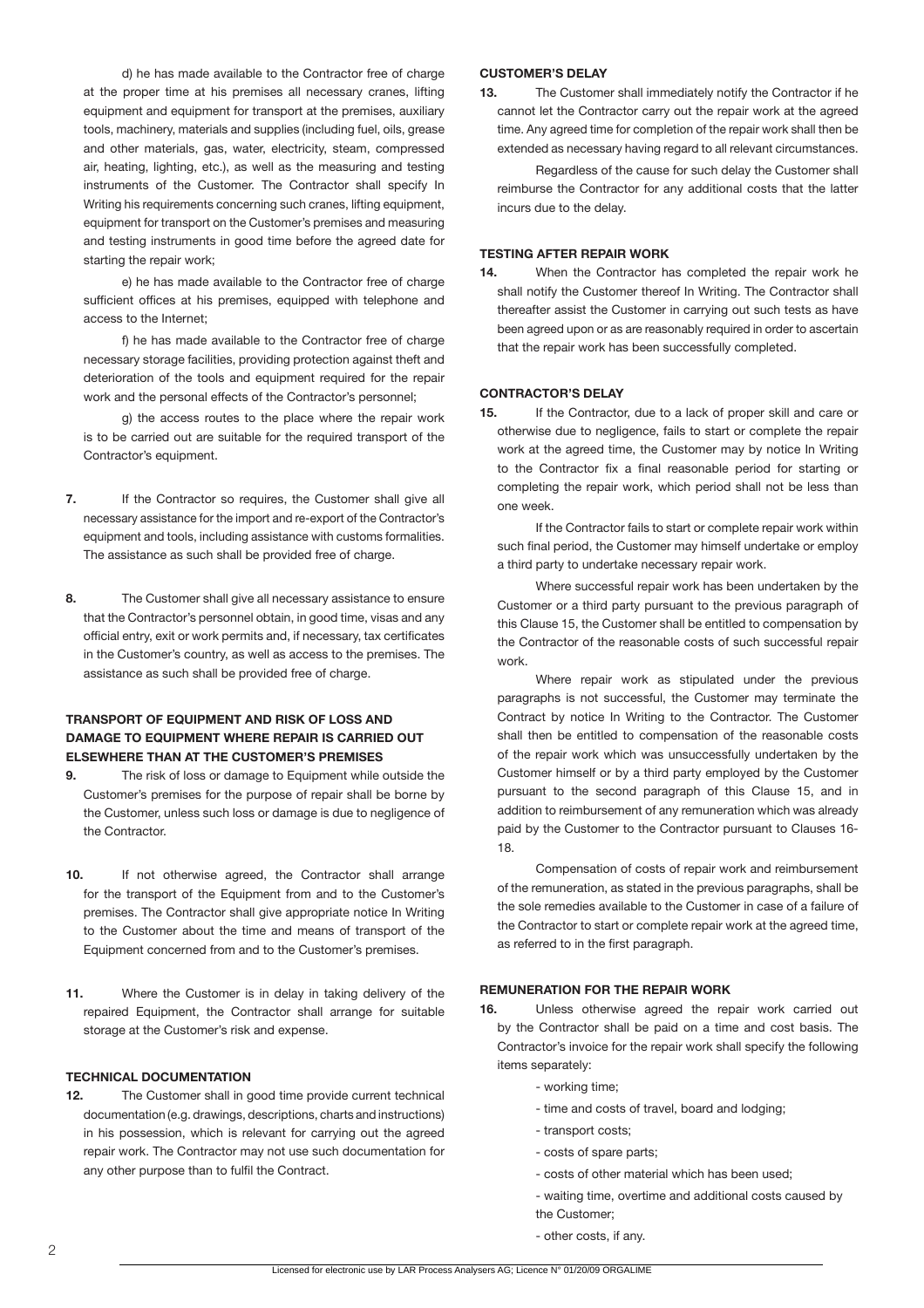d) he has made available to the Contractor free of charge at the proper time at his premises all necessary cranes, lifting equipment and equipment for transport at the premises, auxiliary tools, machinery, materials and supplies (including fuel, oils, grease and other materials, gas, water, electricity, steam, compressed air, heating, lighting, etc.), as well as the measuring and testing instruments of the Customer. The Contractor shall specify In Writing his requirements concerning such cranes, lifting equipment, equipment for transport on the Customer's premises and measuring and testing instruments in good time before the agreed date for starting the repair work;

e) he has made available to the Contractor free of charge sufficient offices at his premises, equipped with telephone and access to the Internet;

f) he has made available to the Contractor free of charge necessary storage facilities, providing protection against theft and deterioration of the tools and equipment required for the repair work and the personal effects of the Contractor's personnel;

g) the access routes to the place where the repair work is to be carried out are suitable for the required transport of the Contractor's equipment.

- **7.** If the Contractor so requires, the Customer shall give all necessary assistance for the import and re-export of the Contractor's equipment and tools, including assistance with customs formalities. The assistance as such shall be provided free of charge.
- **8.** The Customer shall give all necessary assistance to ensure that the Contractor's personnel obtain, in good time, visas and any official entry, exit or work permits and, if necessary, tax certificates in the Customer's country, as well as access to the premises. The assistance as such shall be provided free of charge.

## **TRANSPORT OF EQUIPMENT AND RISK OF LOSS AND DAMAGE TO EQUIPMENT WHERE REPAIR IS CARRIED OUT ELSEWHERE THAN AT THE CUSTOMER'S PREMISES**

- **9.** The risk of loss or damage to Equipment while outside the Customer's premises for the purpose of repair shall be borne by the Customer, unless such loss or damage is due to negligence of the Contractor.
- **10.** If not otherwise agreed, the Contractor shall arrange for the transport of the Equipment from and to the Customer's premises. The Contractor shall give appropriate notice In Writing to the Customer about the time and means of transport of the Equipment concerned from and to the Customer's premises.
- **11.** Where the Customer is in delay in taking delivery of the repaired Equipment, the Contractor shall arrange for suitable storage at the Customer's risk and expense.

## **TECHNICAL DOCUMENTATION**

**12.** The Customer shall in good time provide current technical documentation (e.g. drawings, descriptions, charts and instructions) in his possession, which is relevant for carrying out the agreed repair work. The Contractor may not use such documentation for any other purpose than to fulfil the Contract.

#### **CUSTOMER'S DELAY**

**13.** The Customer shall immediately notify the Contractor if he cannot let the Contractor carry out the repair work at the agreed time. Any agreed time for completion of the repair work shall then be extended as necessary having regard to all relevant circumstances.

Regardless of the cause for such delay the Customer shall reimburse the Contractor for any additional costs that the latter incurs due to the delay.

#### **TESTING AFTER REPAIR WORK**

**14.** When the Contractor has completed the repair work he shall notify the Customer thereof In Writing. The Contractor shall thereafter assist the Customer in carrying out such tests as have been agreed upon or as are reasonably required in order to ascertain that the repair work has been successfully completed.

## **CONTRACTOR'S DELAY**

**15.** If the Contractor, due to a lack of proper skill and care or otherwise due to negligence, fails to start or complete the repair work at the agreed time, the Customer may by notice In Writing to the Contractor fix a final reasonable period for starting or completing the repair work, which period shall not be less than one week.

 If the Contractor fails to start or complete repair work within such final period, the Customer may himself undertake or employ a third party to undertake necessary repair work.

 Where successful repair work has been undertaken by the Customer or a third party pursuant to the previous paragraph of this Clause 15, the Customer shall be entitled to compensation by the Contractor of the reasonable costs of such successful repair work.

Where repair work as stipulated under the previous paragraphs is not successful, the Customer may terminate the Contract by notice In Writing to the Contractor. The Customer shall then be entitled to compensation of the reasonable costs of the repair work which was unsuccessfully undertaken by the Customer himself or by a third party employed by the Customer pursuant to the second paragraph of this Clause 15, and in addition to reimbursement of any remuneration which was already paid by the Customer to the Contractor pursuant to Clauses 16- 18.

 Compensation of costs of repair work and reimbursement of the remuneration, as stated in the previous paragraphs, shall be the sole remedies available to the Customer in case of a failure of the Contractor to start or complete repair work at the agreed time, as referred to in the first paragraph.

#### **REMUNERATION FOR THE REPAIR WORK**

- **16.** Unless otherwise agreed the repair work carried out by the Contractor shall be paid on a time and cost basis. The Contractor's invoice for the repair work shall specify the following items separately:
	- working time;
	- time and costs of travel, board and lodging;
	- transport costs;
	- costs of spare parts;
	- costs of other material which has been used;
	- waiting time, overtime and additional costs caused by the Customer;
	- other costs, if any.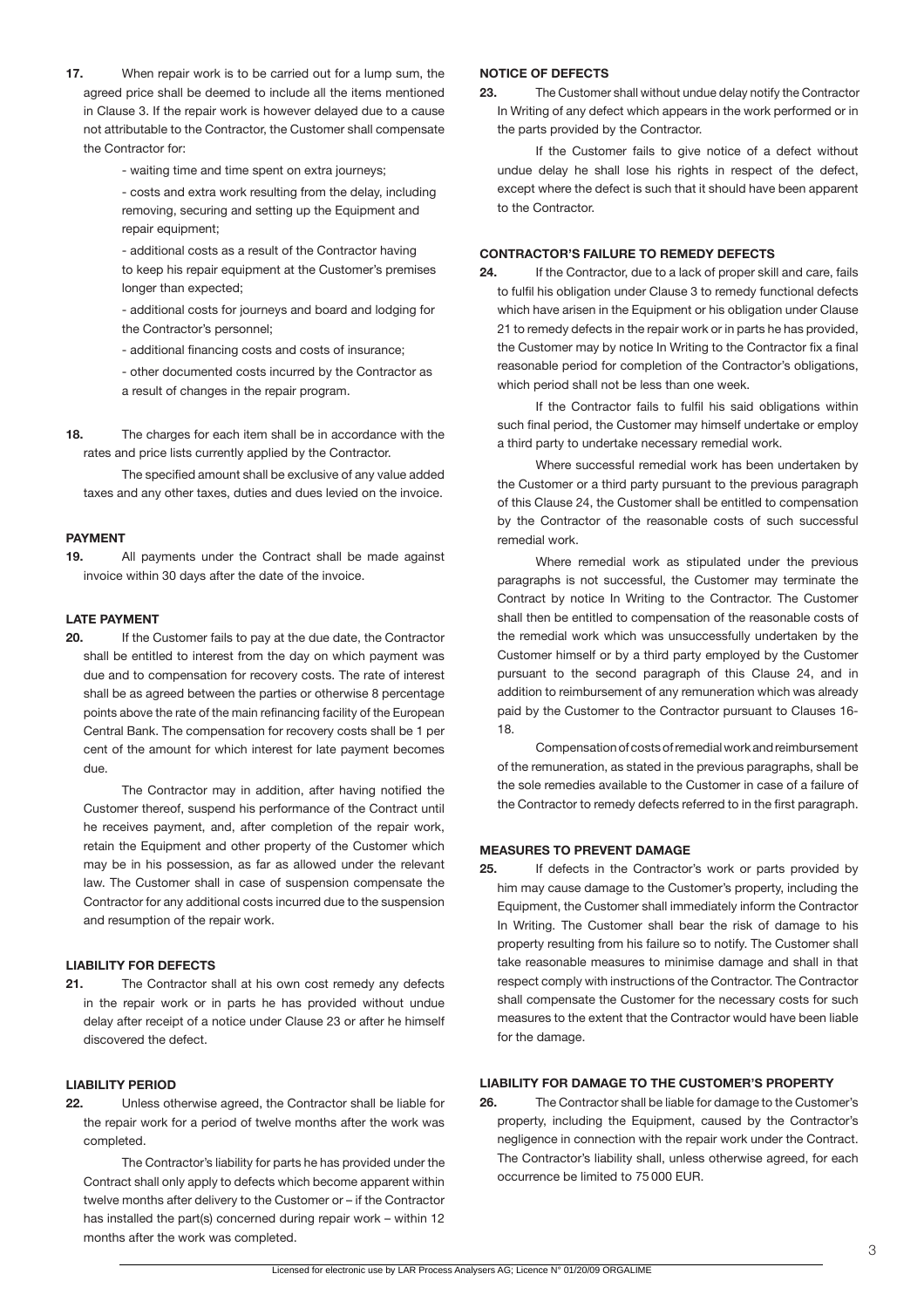- **17.** When repair work is to be carried out for a lump sum, the agreed price shall be deemed to include all the items mentioned in Clause 3. If the repair work is however delayed due to a cause not attributable to the Contractor, the Customer shall compensate the Contractor for:
	- waiting time and time spent on extra journeys;

- costs and extra work resulting from the delay, including removing, securing and setting up the Equipment and repair equipment;

 - additional costs as a result of the Contractor having to keep his repair equipment at the Customer's premises longer than expected;

 - additional costs for journeys and board and lodging for the Contractor's personnel;

- additional financing costs and costs of insurance;

- other documented costs incurred by the Contractor as a result of changes in the repair program.
- **18.** The charges for each item shall be in accordance with the rates and price lists currently applied by the Contractor.

 The specified amount shall be exclusive of any value added taxes and any other taxes, duties and dues levied on the invoice.

## **PAYMENT**

**19.** All payments under the Contract shall be made against invoice within 30 days after the date of the invoice.

### **LATE PAYMENT**

**20.** If the Customer fails to pay at the due date, the Contractor shall be entitled to interest from the day on which payment was due and to compensation for recovery costs. The rate of interest shall be as agreed between the parties or otherwise 8 percentage points above the rate of the main refinancing facility of the European Central Bank. The compensation for recovery costs shall be 1 per cent of the amount for which interest for late payment becomes due.

 The Contractor may in addition, after having notified the Customer thereof, suspend his performance of the Contract until he receives payment, and, after completion of the repair work, retain the Equipment and other property of the Customer which may be in his possession, as far as allowed under the relevant law. The Customer shall in case of suspension compensate the Contractor for any additional costs incurred due to the suspension and resumption of the repair work.

## **LIABILITY FOR DEFECTS**

**21.** The Contractor shall at his own cost remedy any defects in the repair work or in parts he has provided without undue delay after receipt of a notice under Clause 23 or after he himself discovered the defect.

#### **LIABILITY PERIOD**

**22.** Unless otherwise agreed, the Contractor shall be liable for the repair work for a period of twelve months after the work was completed.

 The Contractor's liability for parts he has provided under the Contract shall only apply to defects which become apparent within twelve months after delivery to the Customer or – if the Contractor has installed the part(s) concerned during repair work - within 12 months after the work was completed.

#### **NOTICE OF DEFECTS**

**23.** The Customer shall without undue delay notify the Contractor In Writing of any defect which appears in the work performed or in the parts provided by the Contractor.

 If the Customer fails to give notice of a defect without undue delay he shall lose his rights in respect of the defect, except where the defect is such that it should have been apparent to the Contractor.

### **CONTRACTOR'S FAILURE TO REMEDY DEFECTS**

**24.** If the Contractor, due to a lack of proper skill and care, fails to fulfil his obligation under Clause 3 to remedy functional defects which have arisen in the Equipment or his obligation under Clause 21 to remedy defects in the repair work or in parts he has provided, the Customer may by notice In Writing to the Contractor fix a final reasonable period for completion of the Contractor's obligations, which period shall not be less than one week.

If the Contractor fails to fulfil his said obligations within such final period, the Customer may himself undertake or employ a third party to undertake necessary remedial work.

 Where successful remedial work has been undertaken by the Customer or a third party pursuant to the previous paragraph of this Clause 24, the Customer shall be entitled to compensation by the Contractor of the reasonable costs of such successful remedial work.

 Where remedial work as stipulated under the previous paragraphs is not successful, the Customer may terminate the Contract by notice In Writing to the Contractor. The Customer shall then be entitled to compensation of the reasonable costs of the remedial work which was unsuccessfully undertaken by the Customer himself or by a third party employed by the Customer pursuant to the second paragraph of this Clause 24, and in addition to reimbursement of any remuneration which was already paid by the Customer to the Contractor pursuant to Clauses 16- 18.

Compensation of costs of remedial work and reimbursement of the remuneration, as stated in the previous paragraphs, shall be the sole remedies available to the Customer in case of a failure of the Contractor to remedy defects referred to in the first paragraph.

### **MEASURES TO PREVENT DAMAGE**

**25.** If defects in the Contractor's work or parts provided by him may cause damage to the Customer's property, including the Equipment, the Customer shall immediately inform the Contractor In Writing. The Customer shall bear the risk of damage to his property resulting from his failure so to notify. The Customer shall take reasonable measures to minimise damage and shall in that respect comply with instructions of the Contractor. The Contractor shall compensate the Customer for the necessary costs for such measures to the extent that the Contractor would have been liable for the damage.

## **LIABILITY FOR DAMAGE TO THE CUSTOMER'S PROPERTY**

**26.** The Contractor shall be liable for damage to the Customer's property, including the Equipment, caused by the Contractor's negligence in connection with the repair work under the Contract. The Contractor's liability shall, unless otherwise agreed, for each occurrence be limited to 75 000 EUR.